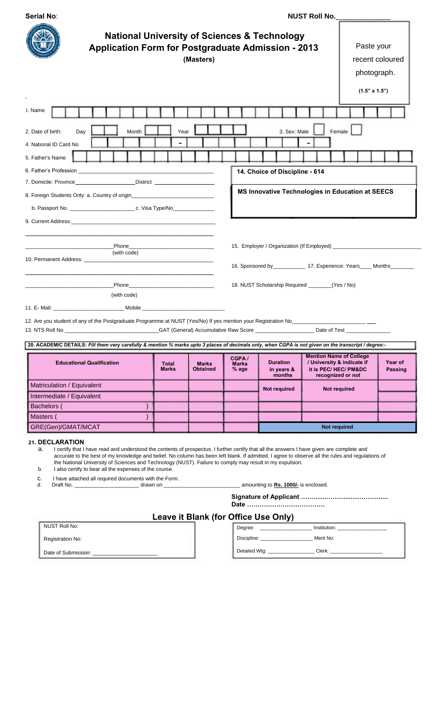| <b>Serial No:</b>                                                                                                                                                                                                                                                                                                                                                                                                                                                                                                                                                                                                                                                                                                                                                                                                                                                                                                                                                                                    | NUST Roll No.                                                                      |                                 |                                |                                                                                                                |                                                                                                                                                                                           |                               |                           |
|------------------------------------------------------------------------------------------------------------------------------------------------------------------------------------------------------------------------------------------------------------------------------------------------------------------------------------------------------------------------------------------------------------------------------------------------------------------------------------------------------------------------------------------------------------------------------------------------------------------------------------------------------------------------------------------------------------------------------------------------------------------------------------------------------------------------------------------------------------------------------------------------------------------------------------------------------------------------------------------------------|------------------------------------------------------------------------------------|---------------------------------|--------------------------------|----------------------------------------------------------------------------------------------------------------|-------------------------------------------------------------------------------------------------------------------------------------------------------------------------------------------|-------------------------------|---------------------------|
| <b>National University of Sciences &amp; Technology</b><br><b>Application Form for Postgraduate Admission - 2013</b><br>(Masters)                                                                                                                                                                                                                                                                                                                                                                                                                                                                                                                                                                                                                                                                                                                                                                                                                                                                    |                                                                                    |                                 |                                | Paste your<br>recent coloured<br>photograph.                                                                   |                                                                                                                                                                                           |                               |                           |
|                                                                                                                                                                                                                                                                                                                                                                                                                                                                                                                                                                                                                                                                                                                                                                                                                                                                                                                                                                                                      |                                                                                    |                                 |                                |                                                                                                                |                                                                                                                                                                                           | $(1.5" \times 1.5")$          |                           |
| 1. Name                                                                                                                                                                                                                                                                                                                                                                                                                                                                                                                                                                                                                                                                                                                                                                                                                                                                                                                                                                                              |                                                                                    |                                 |                                |                                                                                                                |                                                                                                                                                                                           |                               |                           |
| Month<br>2. Date of birth:<br>Day<br>4. National ID Card No<br>5. Father's Name<br>6. Father's Profession <b>Example 20</b> Second 1997 and 20 Second 1997 and 20 Second 1997 and 20 Second 1997 and 20<br>7. Domicile: Province__________________________District ________________________<br>8. Foreign Students Only: a. Country of origin<br>b. Passport No. _________________________________ c. Visa Type/No_______________<br>9. Current Address: <b>Example 2018 Contract 2018</b><br>Phone<br>(with code)<br>Phone Phone Phone Phone Phone Phone Phone Phone Phone Phone Phone Phone Phone Phone Phone Phone Phone Phone Phone Phone Phone Phone Phone Phone Phone Phone Phone Phone Phone Phone Phone Phone Phone Phone Phone Phone Phone<br>(with code)<br>11. E- Mail: Mobile Mobile Mobile Mobile And All Annual Mobile And All Annual Annual And All Annual Annual Annual Annual Annual Annual Annual Annual Annual Annual Annual Annual Annual Annual Annual Annual Annual Annual Ann | Year<br>the control of the control of the control of the control of the control of |                                 |                                | 3. Sex: Male<br>14. Choice of Discipline - 614                                                                 | Female<br>MS Innovative Technologies in Education at SEECS<br>16. Sponsored by______________ 17. Experience: Years____ Months________<br>18. NUST Scholarship Required ________(Yes / No) |                               |                           |
| 12. Are you student of any of the Postgraduate Programme at NUST (Yes/No) If yes mention your Registration No                                                                                                                                                                                                                                                                                                                                                                                                                                                                                                                                                                                                                                                                                                                                                                                                                                                                                        |                                                                                    |                                 |                                | CAT (General) Accumulative Raw Score [1942] [2012] [2012] [2013] [2013] [2013] [2014] [2014] [2014] [2014] [20 |                                                                                                                                                                                           | Date of Test ________________ |                           |
| 20. ACADEMIC DETAILS: Fill them very carefully & mention % marks upto 3 places of decimals only, when CGPA is not given on the transcript / degree :-                                                                                                                                                                                                                                                                                                                                                                                                                                                                                                                                                                                                                                                                                                                                                                                                                                                |                                                                                    |                                 |                                |                                                                                                                |                                                                                                                                                                                           |                               |                           |
| <b>Educational Qualification</b>                                                                                                                                                                                                                                                                                                                                                                                                                                                                                                                                                                                                                                                                                                                                                                                                                                                                                                                                                                     | <b>Total</b><br><b>Marks</b>                                                       | <b>Marks</b><br><b>Obtained</b> | CGPA/<br><b>Marks</b><br>% age | <b>Duration</b><br>in years &<br>months                                                                        | <b>Mention Name of College</b><br>/ University & indicate if<br>it is PEC/HEC/PM&DC<br>recognized or not                                                                                  |                               | Year of<br><b>Passing</b> |
| Matriculation / Equivalent                                                                                                                                                                                                                                                                                                                                                                                                                                                                                                                                                                                                                                                                                                                                                                                                                                                                                                                                                                           |                                                                                    |                                 |                                | Not required                                                                                                   | Not required                                                                                                                                                                              |                               |                           |
| Intermediate / Equivalent<br>Bachelors (                                                                                                                                                                                                                                                                                                                                                                                                                                                                                                                                                                                                                                                                                                                                                                                                                                                                                                                                                             |                                                                                    |                                 |                                |                                                                                                                |                                                                                                                                                                                           |                               |                           |
| Masters (                                                                                                                                                                                                                                                                                                                                                                                                                                                                                                                                                                                                                                                                                                                                                                                                                                                                                                                                                                                            |                                                                                    |                                 |                                |                                                                                                                |                                                                                                                                                                                           |                               |                           |
| GRE(Gen)/GMAT/MCAT                                                                                                                                                                                                                                                                                                                                                                                                                                                                                                                                                                                                                                                                                                                                                                                                                                                                                                                                                                                   |                                                                                    |                                 |                                |                                                                                                                | <b>Not required</b>                                                                                                                                                                       |                               |                           |
| 21. DECLARATION<br>I certify that I have read and understood the contents of prospectus. I further certify that all the answers I have given are complete and<br>a.<br>accurate to the best of my knowledge and belief. No column has been left blank. If admitted, I agree to observe all the rules and regulations of<br>the National University of Sciences and Technology (NUST). Failure to comply may result in my expulsion.<br>I also certify to bear all the expenses of the course.<br>b.<br>I have attached all required documents with the Form.<br>c.<br>d.                                                                                                                                                                                                                                                                                                                                                                                                                             |                                                                                    |                                 |                                |                                                                                                                |                                                                                                                                                                                           |                               |                           |
|                                                                                                                                                                                                                                                                                                                                                                                                                                                                                                                                                                                                                                                                                                                                                                                                                                                                                                                                                                                                      |                                                                                    |                                 |                                |                                                                                                                |                                                                                                                                                                                           |                               |                           |
| <b>NUST Roll No:</b>                                                                                                                                                                                                                                                                                                                                                                                                                                                                                                                                                                                                                                                                                                                                                                                                                                                                                                                                                                                 | <b>Leave it Blank (for Office Use Only)</b>                                        |                                 |                                |                                                                                                                | Degree: ______________________ Institution: ______________________                                                                                                                        |                               |                           |
| Registration No:                                                                                                                                                                                                                                                                                                                                                                                                                                                                                                                                                                                                                                                                                                                                                                                                                                                                                                                                                                                     |                                                                                    |                                 |                                | Discipline: _____________________________ Merit No:                                                            |                                                                                                                                                                                           |                               |                           |

Date of Submission: \_\_\_\_\_\_\_\_\_\_\_\_\_\_\_\_\_\_\_\_\_\_ Detailed Wtg: \_\_\_\_\_\_\_\_\_\_\_\_\_\_\_\_\_ Clerk: \_\_\_\_\_\_\_\_\_\_\_\_\_\_\_\_\_\_\_